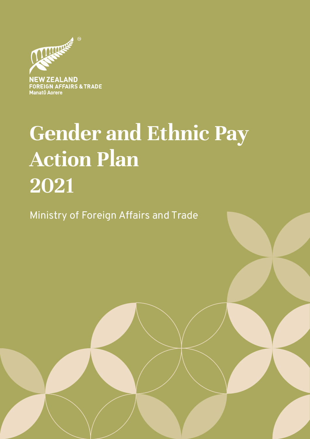

FOREIGN AFFAIRS & TRADE **Manatū Aorere** 

# **Gender and Ethnic Pay Action Plan 2021**

GENDER & ETHNIC PAY ACTION PLAN 2021 | MINISTRY OF FOREIGN AFFAIRS AND TRADE

Ministry of Foreign Affairs and Trade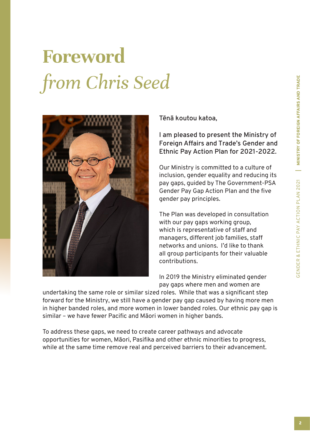# **Foreword**  *from Chris Seed*



**Tēnā koutou katoa,** 

**I am pleased to present the Ministry of Foreign Affairs and Trade's Gender and Ethnic Pay Action Plan for 2021-2022.** 

Our Ministry is committed to a culture of inclusion, gender equality and reducing its pay gaps, guided by The Government-PSA Gender Pay Gap Action Plan and the five gender pay principles.

The Plan was developed in consultation with our pay gaps working group, which is representative of staff and managers, different job families, staff networks and unions. I'd like to thank all group participants for their valuable contributions.

In 2019 the Ministry eliminated gender pay gaps where men and women are

undertaking the same role or similar sized roles. While that was a significant step forward for the Ministry, we still have a gender pay gap caused by having more men in higher banded roles, and more women in lower banded roles. Our ethnic pay gap is similar – we have fewer Pacific and Māori women in higher bands.

To address these gaps, we need to create career pathways and advocate opportunities for women, Māori, Pasifika and other ethnic minorities to progress, while at the same time remove real and perceived barriers to their advancement.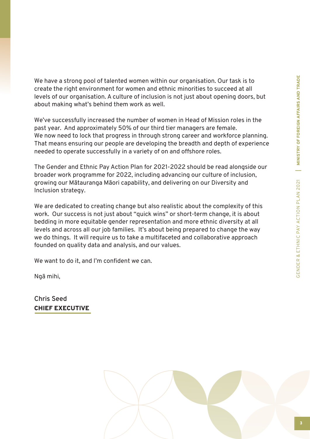We have a strong pool of talented women within our organisation. Our task is to create the right environment for women and ethnic minorities to succeed at all levels of our organisation. A culture of inclusion is not just about opening doors, but about making what's behind them work as well.

We've successfully increased the number of women in Head of Mission roles in the past year. And approximately 50% of our third tier managers are female. We now need to lock that progress in through strong career and workforce planning. That means ensuring our people are developing the breadth and depth of experience needed to operate successfully in a variety of on and offshore roles.

The Gender and Ethnic Pay Action Plan for 2021-2022 should be read alongside our broader work programme for 2022, including advancing our culture of inclusion, growing our Mātauranga Māori capability, and delivering on our Diversity and Inclusion strategy.

We are dedicated to creating change but also realistic about the complexity of this work. Our success is not just about "quick wins" or short-term change, it is about bedding in more equitable gender representation and more ethnic diversity at all levels and across all our job families. It's about being prepared to change the way we do things. It will require us to take a multifaceted and collaborative approach founded on quality data and analysis, and our values.

We want to do it, and I'm confident we can.

Ngā mihi,

**Chris Seed**  CHIEF EXECUTIVE

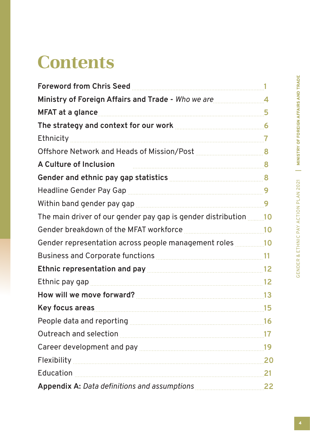## **Contents**

| <b>Foreword from Chris Seed</b>                                                                                                                                                                                                     |            |
|-------------------------------------------------------------------------------------------------------------------------------------------------------------------------------------------------------------------------------------|------------|
| Ministry of Foreign Affairs and Trade - Who we are <b>Ministry</b> of Foreign Affairs and Trade - Who we are                                                                                                                        |            |
| MFAT at a glance                                                                                                                                                                                                                    | 5          |
| The strategy and context for our work <b>manually and the strategy and context for our work</b>                                                                                                                                     |            |
| Ethnicity                                                                                                                                                                                                                           |            |
| Offshore Network and Heads of Mission/Post Multimedial Multimedial Resonance                                                                                                                                                        |            |
| <b>A Culture of Inclusion</b>                                                                                                                                                                                                       |            |
| Gender and ethnic pay gap statistics <b>EXALLER</b> 28                                                                                                                                                                              |            |
| Headline Gender Pay Gap                                                                                                                                                                                                             |            |
| Within band gender pay gap manuscrim and the settlem of 9                                                                                                                                                                           |            |
| The main driver of our gender pay gap is gender distribution <u></u> 10                                                                                                                                                             |            |
| 10<br>Gender breakdown of the MFAT workforce                                                                                                                                                                                        |            |
| Gender representation across people management roles 200 million                                                                                                                                                                    |            |
|                                                                                                                                                                                                                                     |            |
| Ethnic representation and pay manuscription and pay and the substitution of the 12                                                                                                                                                  |            |
|                                                                                                                                                                                                                                     |            |
|                                                                                                                                                                                                                                     |            |
| Key focus areas <b>contracts</b> and the contract of the contract of the contract of the contract of the contract of the contract of the contract of the contract of the contract of the contract of the contract of the contract o | <b>15</b>  |
| People data and reporting manuscriptum and the 16                                                                                                                                                                                   |            |
| Outreach and selection entitled and selection and selection and selection and selection and selection and selection                                                                                                                 | 17         |
| Career development and pay manufactured and pay and the control of the Career development and pay manufactured                                                                                                                      | <u> 19</u> |
|                                                                                                                                                                                                                                     | 20         |
| Education                                                                                                                                                                                                                           | 21         |
| Appendix A: Data definitions and assumptions manuscriptum 22                                                                                                                                                                        |            |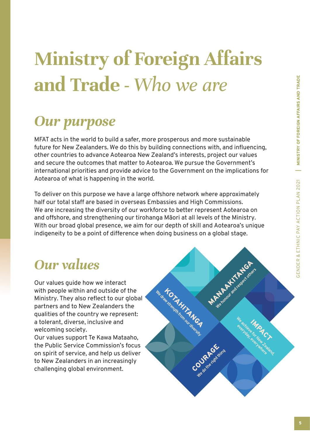# **Ministry of Foreign Affairs and Trade -** *Who we are*

## *Our purpose*

MFAT acts in the world to build a safer, more prosperous and more sustainable future for New Zealanders. We do this by building connections with, and influencing, other countries to advance Aotearoa New Zealand's interests, project our values and secure the outcomes that matter to Aotearoa. We pursue the Government's international priorities and provide advice to the Government on the implications for Aotearoa of what is happening in the world.

To deliver on this purpose we have a large offshore network where approximately half our total staff are based in overseas Embassies and High Commissions. We are increasing the diversity of our workforce to better represent Aotearoa on and offshore, and strengthening our tirohanga Māori at all levels of the Ministry. With our broad global presence, we aim for our depth of skill and Aotearoa's unique indigeneity to be a point of difference when doing business on a global stage.

## *Our values*

Our values guide how we interact with people within and outside of the Ministry. They also reflect to our global partners and to New Zealanders the qualities of the country we represent: a tolerant, diverse, inclusive and welcoming society.

Our values support Te Kawa Mataaho, the Public Service Commission's focus on spirit of service, and help us deliver to New Zealanders in an increasingly challenging global environment.

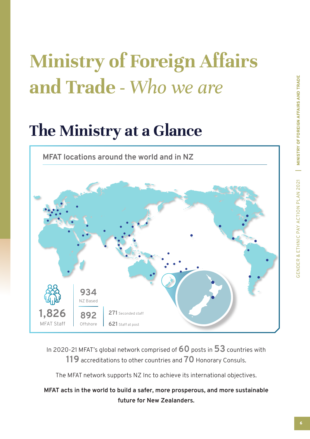# **Ministry of Foreign Affairs and Trade -** *Who we are*

## **The Ministry at a Glance**

**MFAT locations around the world and in NZ**



In 2020-21 MFAT's global network comprised of **60** posts in **53** countries with **119** accreditations to other countries and **70** Honorary Consuls.

The MFAT network supports NZ Inc to achieve its international objectives.

#### **MFAT acts in the world to build a safer, more prosperous, and more sustainable future for New Zealanders.**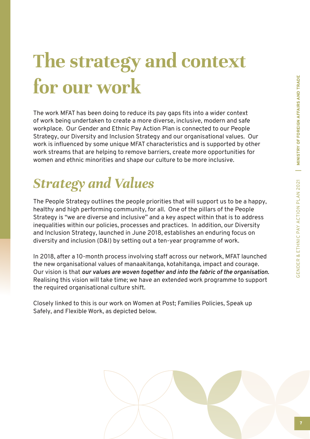# **The strategy and context for our work**

The work MFAT has been doing to reduce its pay gaps fits into a wider context of work being undertaken to create a more diverse, inclusive, modern and safe workplace. Our Gender and Ethnic Pay Action Plan is connected to our People Strategy, our Diversity and Inclusion Strategy and our organisational values. Our work is influenced by some unique MFAT characteristics and is supported by other work streams that are helping to remove barriers, create more opportunities for women and ethnic minorities and shape our culture to be more inclusive.

## *Strategy and Values*

The People Strategy outlines the people priorities that will support us to be a happy, healthy and high performing community, for all. One of the pillars of the People Strategy is "we are diverse and inclusive" and a key aspect within that is to address inequalities within our policies, processes and practices. In addition, our Diversity and Inclusion Strategy, launched in June 2018, establishes an enduring focus on diversity and inclusion (D&I) by setting out a ten-year programme of work.

In 2018, after a 10-month process involving staff across our network, MFAT launched the new organisational values of manaakitanga, kotahitanga, impact and courage. Our vision is that *our values are woven together and into the fabric of the organisation.*  Realising this vision will take time; we have an extended work programme to support the required organisational culture shift.

Closely linked to this is our work on Women at Post; Families Policies, Speak up Safely, and Flexible Work, as depicted below.

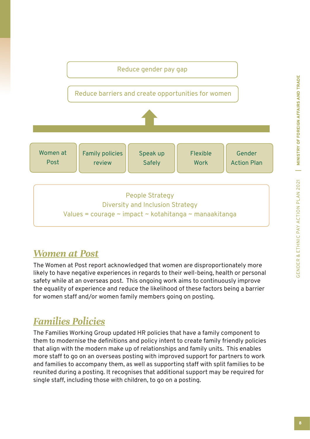

### *Women at Post*

The Women at Post report acknowledged that women are disproportionately more likely to have negative experiences in regards to their well-being, health or personal safety while at an overseas post. This ongoing work aims to continuously improve the equality of experience and reduce the likelihood of these factors being a barrier for women staff and/or women family members going on posting.

### *Families Policies*

The Families Working Group updated HR policies that have a family component to them to modernise the definitions and policy intent to create family friendly policies that align with the modern make up of relationships and family units. This enables more staff to go on an overseas posting with improved support for partners to work and families to accompany them, as well as supporting staff with split families to be reunited during a posting. It recognises that additional support may be required for single staff, including those with children, to go on a posting.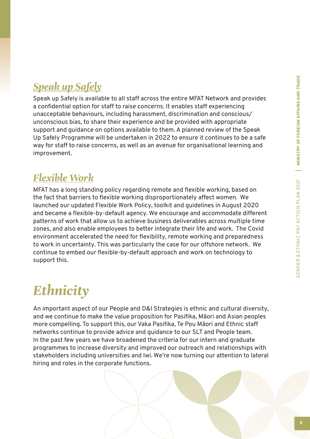### *Speak up Safely*

Speak up Safely is available to all staff across the entire MFAT Network and provides a confidential option for staff to raise concerns. It enables staff experiencing unacceptable behaviours, including harassment, discrimination and conscious/ unconscious bias, to share their experience and be provided with appropriate support and guidance on options available to them. A planned review of the Speak Up Safely Programme will be undertaken in 2022 to ensure it continues to be a safe way for staff to raise concerns, as well as an avenue for organisational learning and improvement.

### *Flexible Work*

MFAT has a long standing policy regarding remote and flexible working, based on the fact that barriers to flexible working disproportionately affect women. We launched our updated Flexible Work Policy, toolkit and guidelines in August 2020 and became a flexible-by-default agency. We encourage and accommodate different patterns of work that allow us to achieve business deliverables across multiple time zones, and also enable employees to better integrate their life and work. The Covid environment accelerated the need for flexibility, remote working and preparedness to work in uncertainty. This was particularly the case for our offshore network. We continue to embed our flexible-by-default approach and work on technology to support this.

## *Ethnicity*

An important aspect of our People and D&I Strategies is ethnic and cultural diversity, and we continue to make the value proposition for Pasifika, Māori and Asian peoples more compelling. To support this, our Vaka Pasifika, Te Pou Māori and Ethnic staff networks continue to provide advice and guidance to our SLT and People team. In the past few years we have broadened the criteria for our intern and graduate programmes to increase diversity and improved our outreach and relationships with stakeholders including universities and Iwi. We're now turning our attention to lateral hiring and roles in the corporate functions.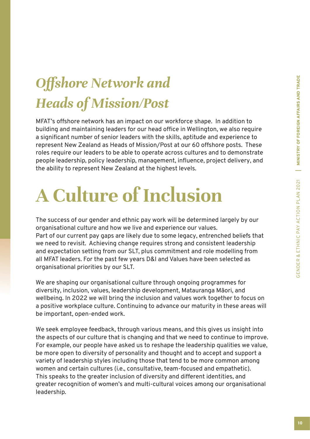## *Offshore Network and Heads of Mission/Post*

MFAT's offshore network has an impact on our workforce shape. In addition to building and maintaining leaders for our head office in Wellington, we also require a significant number of senior leaders with the skills, aptitude and experience to represent New Zealand as Heads of Mission/Post at our 60 offshore posts. These roles require our leaders to be able to operate across cultures and to demonstrate people leadership, policy leadership, management, influence, project delivery, and the ability to represent New Zealand at the highest levels.

## **A Culture of Inclusion**

The success of our gender and ethnic pay work will be determined largely by our organisational culture and how we live and experience our values. Part of our current pay gaps are likely due to some legacy, entrenched beliefs that we need to revisit. Achieving change requires strong and consistent leadership and expectation setting from our SLT, plus commitment and role modelling from all MFAT leaders. For the past few years D&I and Values have been selected as organisational priorities by our SLT.

We are shaping our organisational culture through ongoing programmes for diversity, inclusion, values, leadership development, Matauranga Māori, and wellbeing. In 2022 we will bring the inclusion and values work together to focus on a positive workplace culture. Continuing to advance our maturity in these areas will be important, open-ended work.

We seek employee feedback, through various means, and this gives us insight into the aspects of our culture that is changing and that we need to continue to improve. For example, our people have asked us to reshape the leadership qualities we value, be more open to diversity of personality and thought and to accept and support a variety of leadership styles including those that tend to be more common among women and certain cultures (i.e., consultative, team-focused and empathetic). This speaks to the greater inclusion of diversity and different identities, and greater recognition of women's and multi-cultural voices among our organisational leadership.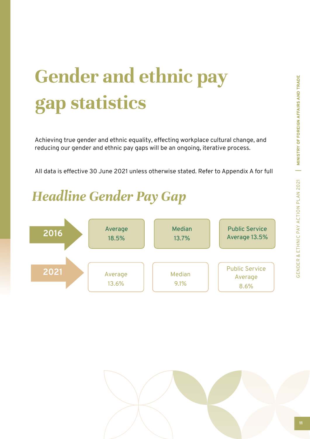# **Gender and ethnic pay gap statistics**

Achieving true gender and ethnic equality, effecting workplace cultural change, and reducing our gender and ethnic pay gaps will be an ongoing, iterative process.

All data is effective 30 June 2021 unless otherwise stated. Refer to Appendix A for full

## *Headline Gender Pay Gap*



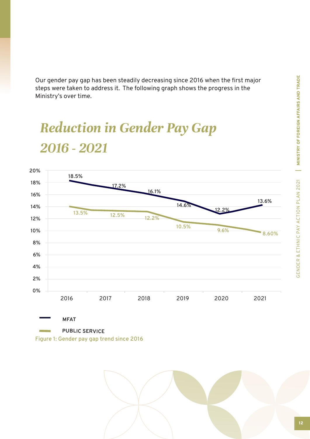MINISTRY OF FOREIGN AFFAIRS AND TRADE GENDER & ETHNIC PAY ACTION PLAN 2021 | MINISTRY OF FOREIGN AFFAIRS AND TRADE GENDER & ETHNIC PAY ACTION PLAN 2021

Our gender pay gap has been steadily decreasing since 2016 when the first major steps were taken to address it. The following graph shows the progress in the Ministry's over time.

## *Reduction in Gender Pay Gap 2016 - 2021*



**Figure 1: Gender pay gap trend since 2016**

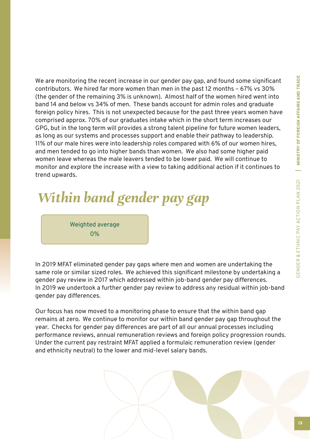MINISTRY OF FOREIGN AFFAIRS AND TRADE GENDER & ETHNIC PAY ACTION PLAN 2021 | MINISTRY OF FOREIGN AFFAIRS AND TRADE GENDER & ETHNIC PAY ACTION PLAN 2021

We are monitoring the recent increase in our gender pay gap, and found some significant contributors. We hired far more women than men in the past 12 months – 67% vs 30% (the gender of the remaining 3% is unknown). Almost half of the women hired went into band 14 and below vs 34% of men. These bands account for admin roles and graduate foreign policy hires. This is not unexpected because for the past three years women have comprised approx. 70% of our graduates intake which in the short term increases our GPG, but in the long term will provides a strong talent pipeline for future women leaders, as long as our systems and processes support and enable their pathway to leadership. 11% of our male hires were into leadership roles compared with 6% of our women hires, and men tended to go into higher bands than women. We also had some higher paid women leave whereas the male leavers tended to be lower paid. We will continue to monitor and explore the increase with a view to taking additional action if it continues to trend upwards.

## *Within band gender pay gap*

Weighted average 0%

In 2019 MFAT eliminated gender pay gaps where men and women are undertaking the same role or similar sized roles. We achieved this significant milestone by undertaking a gender pay review in 2017 which addressed within job-band gender pay differences. In 2019 we undertook a further gender pay review to address any residual within job-band gender pay differences.

Our focus has now moved to a monitoring phase to ensure that the within band gap remains at zero. We continue to monitor our within band gender pay gap throughout the year. Checks for gender pay differences are part of all our annual processes including performance reviews, annual remuneration reviews and foreign policy progression rounds. Under the current pay restraint MFAT applied a formulaic remuneration review (gender and ethnicity neutral) to the lower and mid-level salary bands.

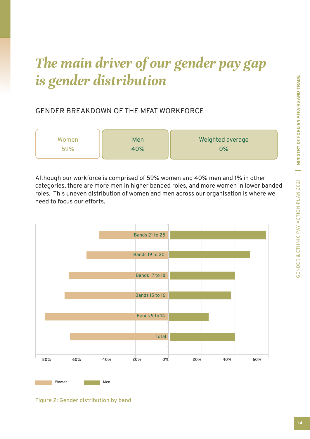## *The main driver of our gender pay gap is gender distribution*

#### GENDER BREAKDOWN OF THE MFAT WORKFORCE

| Women | Men | Weighted average |
|-------|-----|------------------|
| 59%   | 40% | 0%               |
|       |     |                  |

Although our workforce is comprised of 59% women and 40% men and 1% in other categories, there are more men in higher banded roles, and more women in lower banded roles. This uneven distribution of women and men across our organisation is where we need to focus our efforts.



**Figure 2: Gender distribution by band**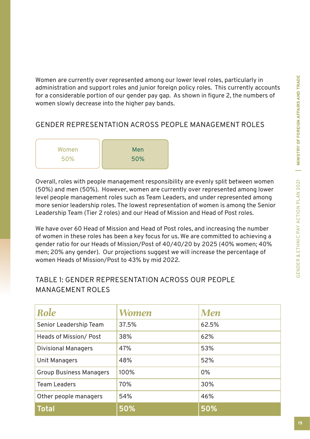Women are currently over represented among our lower level roles, particularly in administration and support roles and junior foreign policy roles. This currently accounts for a considerable portion of our gender pay gap. As shown in figure 2, the numbers of women slowly decrease into the higher pay bands.

#### GENDER REPRESENTATION ACROSS PEOPLE MANAGEMENT ROLES

| Women | Men |
|-------|-----|
| 50%   | 50% |
|       |     |

Overall, roles with people management responsibility are evenly split between women (50%) and men (50%). However, women are currently over represented among lower level people management roles such as Team Leaders, and under represented among more senior leadership roles. The lowest representation of women is among the Senior Leadership Team (Tier 2 roles) and our Head of Mission and Head of Post roles.

We have over 60 Head of Mission and Head of Post roles, and increasing the number of women in these roles has been a key focus for us. We are committed to achieving a gender ratio for our Heads of Mission/Post of 40/40/20 by 2025 (40% women; 40% men; 20% any gender). Our projections suggest we will increase the percentage of women Heads of Mission/Post to 43% by mid 2022.

#### TABLE 1: GENDER REPRESENTATION ACROSS OUR PEOPLE MANAGEMENT ROLES

| Role                           | Women | Men   |
|--------------------------------|-------|-------|
| Senior Leadership Team         | 37.5% | 62.5% |
| Heads of Mission/Post          | 38%   | 62%   |
| <b>Divisional Managers</b>     | 47%   | 53%   |
| Unit Managers                  | 48%   | 52%   |
| <b>Group Business Managers</b> | 100%  | 0%    |
| <b>Team Leaders</b>            | 70%   | 30%   |
| Other people managers          | 54%   | 46%   |
| Total                          | 50%   | 50%   |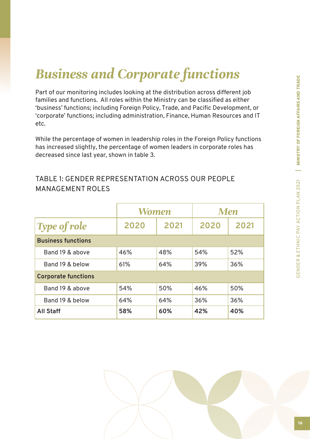## *Business and Corporate functions*

Part of our monitoring includes looking at the distribution across different job families and functions. All roles within the Ministry can be classified as either 'business' functions; including Foreign Policy, Trade, and Pacific Development, or 'corporate' functions; including administration, Finance, Human Resources and IT etc.

While the percentage of women in leadership roles in the Foreign Policy functions has increased slightly, the percentage of women leaders in corporate roles has decreased since last year, shown in table 3.

#### TABLE 1: GENDER REPRESENTATION ACROSS OUR PEOPLE MANAGEMENT ROLES

|                            | Women |      | <b>Men</b>   |     |
|----------------------------|-------|------|--------------|-----|
| <b>Type of role</b>        | 2020  | 2021 | 2020<br>2021 |     |
| <b>Business functions</b>  |       |      |              |     |
| Band 19 & above            | 46%   | 48%  | 54%          | 52% |
| Band 19 & below            | 61%   | 64%  | 36%<br>39%   |     |
| <b>Corporate functions</b> |       |      |              |     |
| Band 19 & above            | 54%   | 50%  | 46%          | 50% |
| Band 19 & below            | 64%   | 64%  | 36%          | 36% |
| <b>All Staff</b>           | 58%   | 60%  | 42%<br>40%   |     |

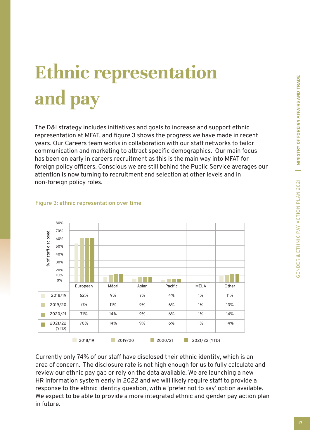# **Ethnic representation and pay**

The D&I strategy includes initiatives and goals to increase and support ethnic representation at MFAT, and figure 3 shows the progress we have made in recent years. Our Careers team works in collaboration with our staff networks to tailor communication and marketing to attract specific demographics. Our main focus has been on early in careers recruitment as this is the main way into MFAT for foreign policy officers. Conscious we are still behind the Public Service averages our attention is now turning to recruitment and selection at other levels and in non-foreign policy roles.



#### **Figure 3: ethnic representation over time**

Currently only 74% of our staff have disclosed their ethnic identity, which is an area of concern. The disclosure rate is not high enough for us to fully calculate and review our ethnic pay gap or rely on the data available. We are launching a new HR information system early in 2022 and we will likely require staff to provide a response to the ethnic identity question, with a 'prefer not to say' option available. We expect to be able to provide a more integrated ethnic and gender pay action plan in future.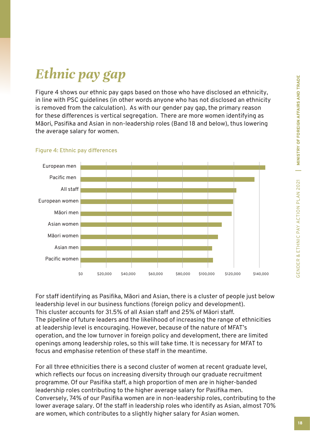## *Ethnic pay gap*

Figure 4 shows our ethnic pay gaps based on those who have disclosed an ethnicity, in line with PSC guidelines (in other words anyone who has not disclosed an ethnicity is removed from the calculation). As with our gender pay gap, the primary reason for these differences is vertical segregation. There are more women identifying as Māori, Pasifika and Asian in non-leadership roles (Band 18 and below), thus lowering the average salary for women.



#### **Figure 4: Ethnic pay differences**

For staff identifying as Pasifika, Māori and Asian, there is a cluster of people just below leadership level in our business functions (foreign policy and development). This cluster accounts for 31.5% of all Asian staff and 25% of Māori staff. The pipeline of future leaders and the likelihood of increasing the range of ethnicities at leadership level is encouraging. However, because of the nature of MFAT's operation, and the low turnover in foreign policy and development, there are limited openings among leadership roles, so this will take time. It is necessary for MFAT to focus and emphasise retention of these staff in the meantime.

For all three ethnicities there is a second cluster of women at recent graduate level, which reflects our focus on increasing diversity through our graduate recruitment programme. Of our Pasifika staff, a high proportion of men are in higher-banded leadership roles contributing to the higher average salary for Pasifika men. Conversely, 74% of our Pasifika women are in non-leadership roles, contributing to the lower average salary. Of the staff in leadership roles who identify as Asian, almost 70% are women, which contributes to a slightly higher salary for Asian women.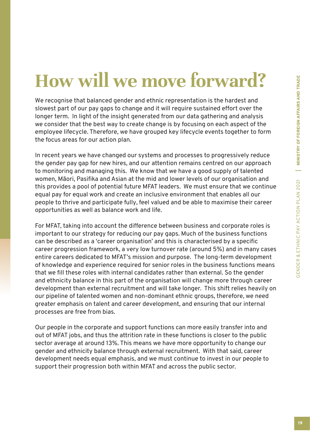## **How will we move forward?**

We recognise that balanced gender and ethnic representation is the hardest and slowest part of our pay gaps to change and it will require sustained effort over the longer term. In light of the insight generated from our data gathering and analysis we consider that the best way to create change is by focusing on each aspect of the employee lifecycle. Therefore, we have grouped key lifecycle events together to form the focus areas for our action plan.

In recent years we have changed our systems and processes to progressively reduce the gender pay gap for new hires, and our attention remains centred on our approach to monitoring and managing this. We know that we have a good supply of talented women, Māori, Pasifika and Asian at the mid and lower levels of our organisation and this provides a pool of potential future MFAT leaders. We must ensure that we continue equal pay for equal work and create an inclusive environment that enables all our people to thrive and participate fully, feel valued and be able to maximise their career opportunities as well as balance work and life.

For MFAT, taking into account the difference between business and corporate roles is important to our strategy for reducing our pay gaps. Much of the business functions can be described as a 'career organisation' and this is characterised by a specific career progression framework, a very low turnover rate (around 5%) and in many cases entire careers dedicated to MFAT's mission and purpose. The long-term development of knowledge and experience required for senior roles in the business functions means that we fill these roles with internal candidates rather than external. So the gender and ethnicity balance in this part of the organisation will change more through career development than external recruitment and will take longer. This shift relies heavily on our pipeline of talented women and non-dominant ethnic groups, therefore, we need greater emphasis on talent and career development, and ensuring that our internal processes are free from bias.

Our people in the corporate and support functions can more easily transfer into and out of MFAT jobs, and thus the attrition rate in these functions is closer to the public sector average at around 13%. This means we have more opportunity to change our gender and ethnicity balance through external recruitment. With that said, career development needs equal emphasis, and we must continue to invest in our people to support their progression both within MFAT and across the public sector.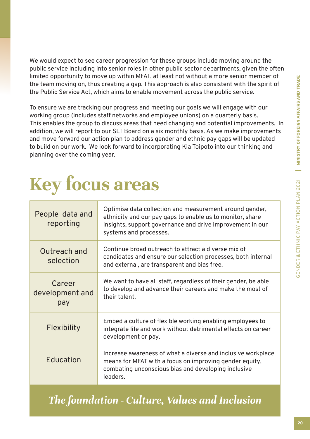We would expect to see career progression for these groups include moving around the public service including into senior roles in other public sector departments, given the often limited opportunity to move up within MFAT, at least not without a more senior member of the team moving on, thus creating a gap. This approach is also consistent with the spirit of the Public Service Act, which aims to enable movement across the public service.

To ensure we are tracking our progress and meeting our goals we will engage with our working group (includes staff networks and employee unions) on a quarterly basis. This enables the group to discuss areas that need changing and potential improvements. In addition, we will report to our SLT Board on a six monthly basis. As we make improvements and move forward our action plan to address gender and ethnic pay gaps will be updated to build on our work. We look forward to incorporating Kia Toipoto into our thinking and planning over the coming year.

## **Key focus areas**

| People data and<br>reporting     | Optimise data collection and measurement around gender,<br>ethnicity and our pay gaps to enable us to monitor, share<br>insights, support governance and drive improvement in our<br>systems and processes. |
|----------------------------------|-------------------------------------------------------------------------------------------------------------------------------------------------------------------------------------------------------------|
| Outreach and<br>selection        | Continue broad outreach to attract a diverse mix of<br>candidates and ensure our selection processes, both internal<br>and external, are transparent and bias free.                                         |
| Career<br>development and<br>pay | We want to have all staff, regardless of their gender, be able<br>to develop and advance their careers and make the most of<br>their talent.                                                                |
| Flexibility                      | Embed a culture of flexible working enabling employees to<br>integrate life and work without detrimental effects on career<br>development or pay.                                                           |
| Education                        | Increase awareness of what a diverse and inclusive workplace<br>means for MFAT with a focus on improving gender equity,<br>combating unconscious bias and developing inclusive<br>leaders.                  |

### *The foundation - Culture, Values and Inclusion*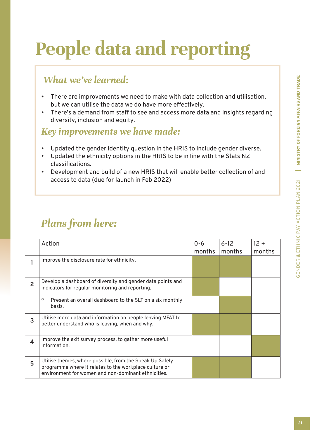# **People data and reporting**

### *What we've learned:*

- There are improvements we need to make with data collection and utilisation, but we can utilise the data we do have more effectively.
- There's a demand from staff to see and access more data and insights regarding diversity, inclusion and equity.

#### *Key improvements we have made:*

- Updated the gender identity question in the HRIS to include gender diverse.
- Updated the ethnicity options in the HRIS to be in line with the Stats NZ classifications.
- Development and build of a new HRIS that will enable better collection of and access to data (due for launch in Feb 2022)

| Action                                                                                                                                                                    | $0 - 6$<br>months | $6 - 12$<br>months | $12 +$<br>months |
|---------------------------------------------------------------------------------------------------------------------------------------------------------------------------|-------------------|--------------------|------------------|
| Improve the disclosure rate for ethnicity.                                                                                                                                |                   |                    |                  |
| Develop a dashboard of diversity and gender data points and<br>indicators for regular monitoring and reporting.                                                           |                   |                    |                  |
| $\circ$<br>Present an overall dashboard to the SLT on a six monthly<br>basis.                                                                                             |                   |                    |                  |
| Utilise more data and information on people leaving MFAT to<br>better understand who is leaving, when and why.                                                            |                   |                    |                  |
| Improve the exit survey process, to gather more useful<br>information.                                                                                                    |                   |                    |                  |
| Utilise themes, where possible, from the Speak Up Safely<br>programme where it relates to the workplace culture or<br>environment for women and non-dominant ethnicities. |                   |                    |                  |
|                                                                                                                                                                           |                   |                    |                  |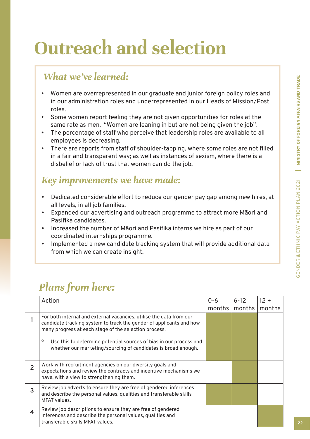# **Outreach and selection**

### *What we've learned:*

- Women are overrepresented in our graduate and junior foreign policy roles and in our administration roles and underrepresented in our Heads of Mission/Post roles.
- Some women report feeling they are not given opportunities for roles at the same rate as men. "Women are leaning in but are not being given the job".
- The percentage of staff who perceive that leadership roles are available to all employees is decreasing.
- There are reports from staff of shoulder-tapping, where some roles are not filled in a fair and transparent way; as well as instances of sexism, where there is a disbelief or lack of trust that women can do the job.

### *Key improvements we have made:*

- Dedicated considerable effort to reduce our gender pay gap among new hires, at all levels, in all job families.
- Expanded our advertising and outreach programme to attract more Māori and Pasifika candidates.
- Increased the number of Māori and Pasifika interns we hire as part of our coordinated internships programme.
- Implemented a new candidate tracking system that will provide additional data from which we can create insight.

|   | Action                                                                                                                                                                                                                                                                                                                                          | $0 - 6$<br>months | $6 - 12$<br>months | $12 +$<br>months |
|---|-------------------------------------------------------------------------------------------------------------------------------------------------------------------------------------------------------------------------------------------------------------------------------------------------------------------------------------------------|-------------------|--------------------|------------------|
|   | For both internal and external vacancies, utilise the data from our<br>candidate tracking system to track the gender of applicants and how<br>many progress at each stage of the selection process.<br>о<br>Use this to determine potential sources of bias in our process and<br>whether our marketing/sourcing of candidates is broad enough. |                   |                    |                  |
| 2 | Work with recruitment agencies on our diversity goals and<br>expectations and review the contracts and incentive mechanisms we<br>have, with a view to strengthening them.                                                                                                                                                                      |                   |                    |                  |
| 3 | Review job adverts to ensure they are free of gendered inferences<br>and describe the personal values, qualities and transferable skills<br>MFAT values.                                                                                                                                                                                        |                   |                    |                  |
| 4 | Review job descriptions to ensure they are free of gendered<br>inferences and describe the personal values, qualities and<br>transferable skills MFAT values.                                                                                                                                                                                   |                   |                    |                  |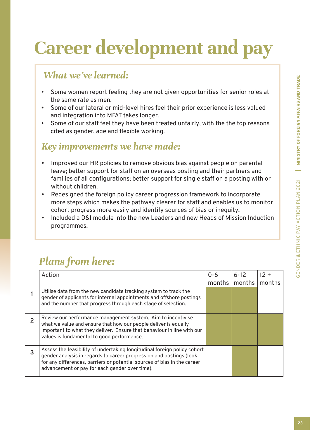# **Career development and pay**

### *What we've learned:*

- Some women report feeling they are not given opportunities for senior roles at the same rate as men.
- Some of our lateral or mid-level hires feel their prior experience is less valued and integration into MFAT takes longer.
- Some of our staff feel they have been treated unfairly, with the the top reasons cited as gender, age and flexible working.

### *Key improvements we have made:*

- Improved our HR policies to remove obvious bias against people on parental leave; better support for staff on an overseas posting and their partners and families of all configurations; better support for single staff on a posting with or without children.
- Redesigned the foreign policy career progression framework to incorporate more steps which makes the pathway clearer for staff and enables us to monitor cohort progress more easily and identify sources of bias or inequity.
- Included a D&I module into the new Leaders and new Heads of Mission Induction programmes.

|   | Action                                                                                                                                                                                                                                                                        | $0 - 6$<br>months | $6 - 12$<br>months | $12 +$<br>months |
|---|-------------------------------------------------------------------------------------------------------------------------------------------------------------------------------------------------------------------------------------------------------------------------------|-------------------|--------------------|------------------|
|   | Utilise data from the new candidate tracking system to track the<br>gender of applicants for internal appointments and offshore postings<br>and the number that progress through each stage of selection.                                                                     |                   |                    |                  |
| 2 | Review our performance management system. Aim to incentivise<br>what we value and ensure that how our people deliver is equally<br>important to what they deliver. Ensure that behaviour in line with our<br>values is fundamental to good performance.                       |                   |                    |                  |
| 3 | Assess the feasibility of undertaking longitudinal foreign policy cohort<br>gender analysis in regards to career progression and postings (look<br>for any differences, barriers or potential sources of bias in the career<br>advancement or pay for each gender over time). |                   |                    |                  |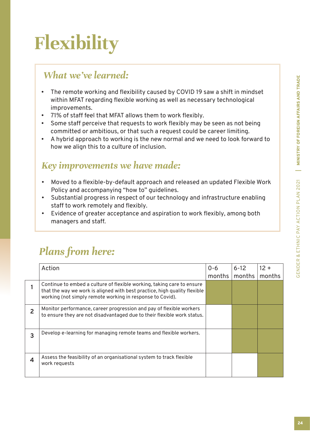# **Flexibility**

### *What we've learned:*

- The remote working and flexibility caused by COVID 19 saw a shift in mindset within MFAT regarding flexible working as well as necessary technological improvements.
- 71% of staff feel that MFAT allows them to work flexibly.
- Some staff perceive that requests to work flexibly may be seen as not being committed or ambitious, or that such a request could be career limiting.
- A hybrid approach to working is the new normal and we need to look forward to how we align this to a culture of inclusion.

### *Key improvements we have made:*

- Moved to a flexible-by-default approach and released an updated Flexible Work Policy and accompanying "how to" guidelines.
- Substantial progress in respect of our technology and infrastructure enabling staff to work remotely and flexibly.
- Evidence of greater acceptance and aspiration to work flexibly, among both managers and staff.

|                | Action                                                                                                                                                                                                           | $0 - 6$ | $6 - 12$ | $12 +$ |
|----------------|------------------------------------------------------------------------------------------------------------------------------------------------------------------------------------------------------------------|---------|----------|--------|
|                |                                                                                                                                                                                                                  | months  | months   | months |
|                | Continue to embed a culture of flexible working, taking care to ensure<br>that the way we work is aligned with best practice, high quality flexible<br>working (not simply remote working in response to Covid). |         |          |        |
| $\overline{2}$ | Monitor performance, career progression and pay of flexible workers<br>to ensure they are not disadvantaged due to their flexible work status.                                                                   |         |          |        |
| 3              | Develop e-learning for managing remote teams and flexible workers.                                                                                                                                               |         |          |        |
| 4              | Assess the feasibility of an organisational system to track flexible<br>work requests                                                                                                                            |         |          |        |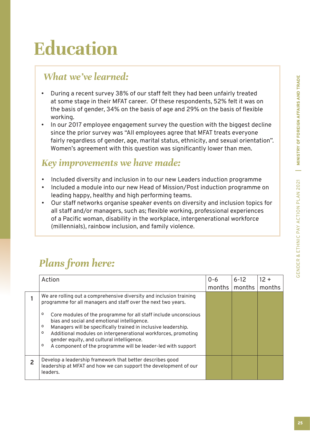# **Education**

### *What we've learned:*

- During a recent survey 38% of our staff felt they had been unfairly treated at some stage in their MFAT career. Of these respondents, 52% felt it was on the basis of gender, 34% on the basis of age and 29% on the basis of flexible working.
- In our 2017 employee engagement survey the question with the biggest decline since the prior survey was "All employees agree that MFAT treats everyone fairly regardless of gender, age, marital status, ethnicity, and sexual orientation". Women's agreement with this question was significantly lower than men.

### *Key improvements we have made:*

- Included diversity and inclusion in to our new Leaders induction programme
- Included a module into our new Head of Mission/Post induction programme on leading happy, healthy and high performing teams.
- Our staff networks organise speaker events on diversity and inclusion topics for all staff and/or managers, such as; flexible working, professional experiences of a Pacific woman, disability in the workplace, intergenerational workforce (millennials), rainbow inclusion, and family violence.

| Action                                                                                                                                                                                                                                                                                                                                                                                                                                                                                                                     | $0 - 6$<br>months | $6 - 12$<br>months | $12 +$<br>months |
|----------------------------------------------------------------------------------------------------------------------------------------------------------------------------------------------------------------------------------------------------------------------------------------------------------------------------------------------------------------------------------------------------------------------------------------------------------------------------------------------------------------------------|-------------------|--------------------|------------------|
| We are rolling out a comprehensive diversity and inclusion training<br>programme for all managers and staff over the next two years.<br>Core modules of the programme for all staff include unconscious<br>o<br>bias and social and emotional intelligence.<br>Managers will be specifically trained in inclusive leadership.<br>٥<br>Additional modules on intergenerational workforces, promoting<br>٥<br>gender equity, and cultural intelligence.<br>A component of the programme will be leader-led with support<br>o |                   |                    |                  |
| Develop a leadership framework that better describes good<br>leadership at MFAT and how we can support the development of our<br>leaders.                                                                                                                                                                                                                                                                                                                                                                                  |                   |                    |                  |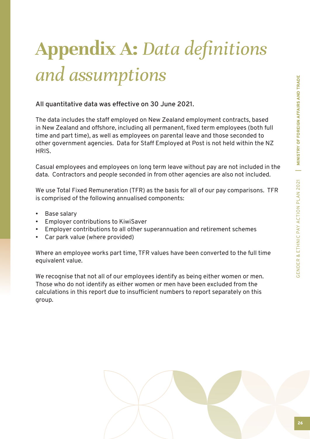# **Appendix A:** *Data definitions and assumptions*

#### **All quantitative data was effective on 30 June 2021.**

The data includes the staff employed on New Zealand employment contracts, based in New Zealand and offshore, including all permanent, fixed term employees (both full time and part time), as well as employees on parental leave and those seconded to other government agencies. Data for Staff Employed at Post is not held within the NZ HRIS.

Casual employees and employees on long term leave without pay are not included in the data. Contractors and people seconded in from other agencies are also not included.

We use Total Fixed Remuneration (TFR) as the basis for all of our pay comparisons. TFR is comprised of the following annualised components:

- Base salary
- Employer contributions to KiwiSaver
- Employer contributions to all other superannuation and retirement schemes
- Car park value (where provided)

Where an employee works part time, TFR values have been converted to the full time equivalent value.

We recognise that not all of our employees identify as being either women or men. Those who do not identify as either women or men have been excluded from the calculations in this report due to insufficient numbers to report separately on this group.